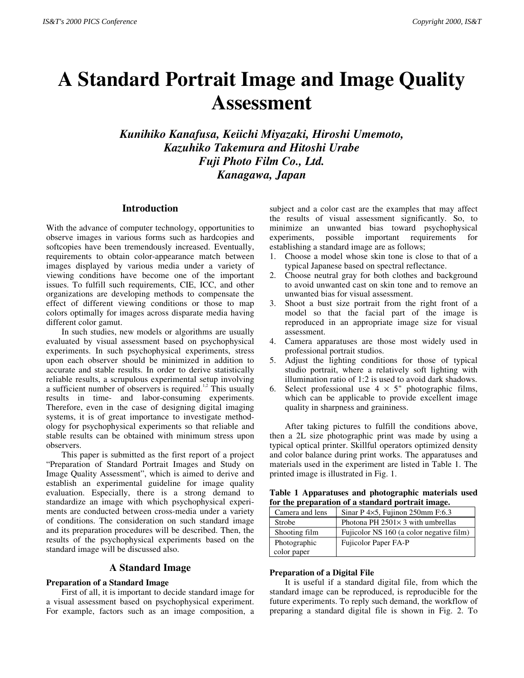# **A Standard Portrait Image and Image Quality Assessment**

*Kunihiko Kanafusa, Keiichi Miyazaki, Hiroshi Umemoto, Kazuhiko Takemura and Hitoshi Urabe Fuji Photo Film Co., Ltd. Kanagawa, Japan*

# **Introduction**

With the advance of computer technology, opportunities to observe images in various forms such as hardcopies and softcopies have been tremendously increased. Eventually, requirements to obtain color-appearance match between images displayed by various media under a variety of viewing conditions have become one of the important issues. To fulfill such requirements, CIE, ICC, and other organizations are developing methods to compensate the effect of different viewing conditions or those to map colors optimally for images across disparate media having different color gamut.

In such studies, new models or algorithms are usually evaluated by visual assessment based on psychophysical experiments. In such psychophysical experiments, stress upon each observer should be minimized in addition to accurate and stable results. In order to derive statistically reliable results, a scrupulous experimental setup involving a sufficient number of observers is required.<sup>1,2</sup> This usually results in time- and labor-consuming experiments. Therefore, even in the case of designing digital imaging systems, it is of great importance to investigate methodology for psychophysical experiments so that reliable and stable results can be obtained with minimum stress upon observers.

This paper is submitted as the first report of a project "Preparation of Standard Portrait Images and Study on Image Quality Assessment", which is aimed to derive and establish an experimental guideline for image quality evaluation. Especially, there is a strong demand to standardize an image with which psychophysical experiments are conducted between cross-media under a variety of conditions. The consideration on such standard image and its preparation procedures will be described. Then, the results of the psychophysical experiments based on the standard image will be discussed also.

# **A Standard Image**

#### **Preparation of a Standard Image**

First of all, it is important to decide standard image for a visual assessment based on psychophysical experiment. For example, factors such as an image composition, a subject and a color cast are the examples that may affect the results of visual assessment significantly. So, to minimize an unwanted bias toward psychophysical experiments, possible important requirements for establishing a standard image are as follows;

- 1. Choose a model whose skin tone is close to that of a typical Japanese based on spectral reflectance.
- 2. Choose neutral gray for both clothes and background to avoid unwanted cast on skin tone and to remove an unwanted bias for visual assessment.
- 3. Shoot a bust size portrait from the right front of a model so that the facial part of the image is reproduced in an appropriate image size for visual assessment.
- 4. Camera apparatuses are those most widely used in professional portrait studios.
- 5. Adjust the lighting conditions for those of typical studio portrait, where a relatively soft lighting with illumination ratio of 1:2 is used to avoid dark shadows.
- 6. Select professional use  $4 \times 5$ " photographic films, which can be applicable to provide excellent image quality in sharpness and graininess.

After taking pictures to fulfill the conditions above, then a 2L size photographic print was made by using a typical optical printer. Skillful operators optimized density and color balance during print works. The apparatuses and materials used in the experiment are listed in Table 1. The printed image is illustrated in Fig. 1.

**Table 1 Apparatuses and photographic materials used for the preparation of a standard portrait image.**

| Camera and lens | Sinar P 4×5, Fujinon 250mm F:6.3          |
|-----------------|-------------------------------------------|
| Strobe          | Photona PH $2501 \times 3$ with umbrellas |
| Shooting film   | Fujicolor NS 160 (a color negative film)  |
| Photographic    | Fujicolor Paper FA-P                      |
| color paper     |                                           |

## **Preparation of a Digital File**

It is useful if a standard digital file, from which the standard image can be reproduced, is reproducible for the future experiments. To reply such demand, the workflow of preparing a standard digital file is shown in Fig. 2. To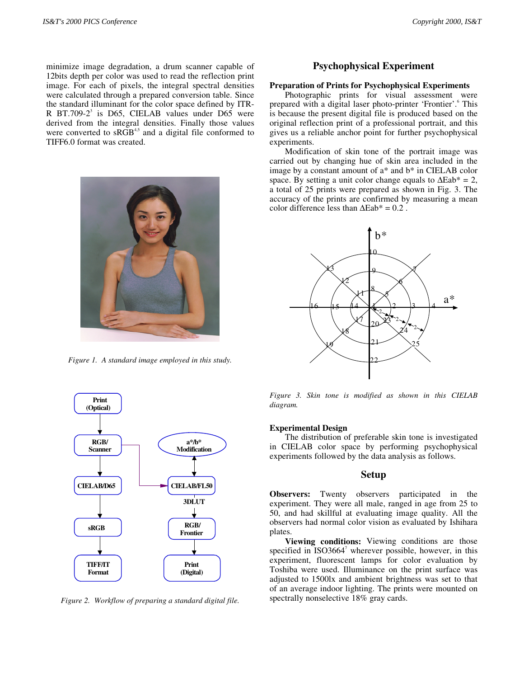minimize image degradation, a drum scanner capable of 12bits depth per color was used to read the reflection print image. For each of pixels, the integral spectral densities were calculated through a prepared conversion table. Since the standard illuminant for the color space defined by ITR-R BT.709-2<sup>3</sup> is D65, CIELAB values under D65 were derived from the integral densities. Finally those values were converted to  $sRGB^{4,5}$  and a digital file conformed to TIFF6.0 format was created.



*Figure 1. A standard image employed in this study.*



*Figure 2. Workflow of preparing a standard digital file.*

# **Psychophysical Experiment**

#### **Preparation of Prints for Psychophysical Experiments**

Photographic prints for visual assessment were prepared with a digital laser photo-printer 'Frontier'.<sup>6</sup> This is because the present digital file is produced based on the original reflection print of a professional portrait, and this gives us a reliable anchor point for further psychophysical experiments.

Modification of skin tone of the portrait image was carried out by changing hue of skin area included in the image by a constant amount of a\* and b\* in CIELAB color space. By setting a unit color change equals to  $\Delta$ Eab<sup>\*</sup> = 2, a total of 25 prints were prepared as shown in Fig. 3. The accuracy of the prints are confirmed by measuring a mean color difference less than  $\Delta$ Eab<sup>\*</sup> = 0.2.



*Figure 3. Skin tone is modified as shown in this CIELAB diagram.*

#### **Experimental Design**

The distribution of preferable skin tone is investigated in CIELAB color space by performing psychophysical experiments followed by the data analysis as follows.

## **Setup**

**Observers:** Twenty observers participated in the experiment. They were all male, ranged in age from 25 to 50, and had skillful at evaluating image quality. All the observers had normal color vision as evaluated by Ishihara plates.

**Viewing conditions:** Viewing conditions are those specified in ISO3664<sup>7</sup> wherever possible, however, in this experiment, fluorescent lamps for color evaluation by Toshiba were used. Illuminance on the print surface was adjusted to 1500lx and ambient brightness was set to that of an average indoor lighting. The prints were mounted on spectrally nonselective 18% gray cards.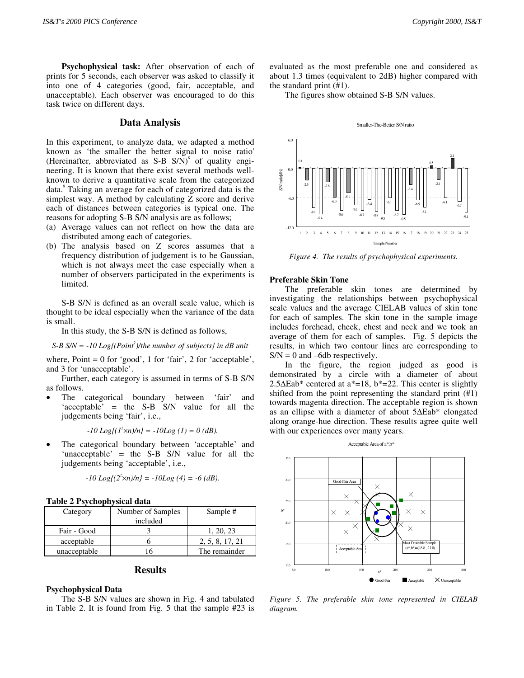**Psychophysical task:** After observation of each of prints for 5 seconds, each observer was asked to classify it into one of 4 categories (good, fair, acceptable, and unacceptable). Each observer was encouraged to do this task twice on different days.

## **Data Analysis**

In this experiment, to analyze data, we adapted a method known as 'the smaller the better signal to noise ratio' (Hereinafter, abbreviated as S-B  $S/N$ )<sup>8</sup> of quality engineering. It is known that there exist several methods wellknown to derive a quantitative scale from the categorized data.<sup>9</sup> Taking an average for each of categorized data is the simplest way. A method by calculating Z score and derive each of distances between categories is typical one. The reasons for adopting S-B S/N analysis are as follows;

- (a) Average values can not reflect on how the data are distributed among each of categories.
- (b) The analysis based on Z scores assumes that a frequency distribution of judgement is to be Gaussian, which is not always meet the case especially when a number of observers participated in the experiments is limited.

S-B S/N is defined as an overall scale value, which is thought to be ideal especially when the variance of the data is small.

In this study, the S-B S/N is defined as follows,

*S-B S/N = -10 Log{(Point<sup>2</sup> )/the number of subjects} in dB unit*

where,  $Point = 0$  for 'good', 1 for 'fair', 2 for 'acceptable', and 3 for 'unacceptable'.

Further, each category is assumed in terms of S-B S/N as follows.

The categorical boundary between 'fair' and 'acceptable' = the S-B S/N value for all the judgements being 'fair', i.e.,

 $-I0 Log\{(1^2 \times n)/n\} = -10 Log (1) = 0$  (dB).

The categorical boundary between 'acceptable' and 'unacceptable' = the S-B S/N value for all the judgements being 'acceptable', i.e.,

$$
-10 Log\{(2^2 \times n)/n\} = -10 Log(4) = -6 (dB).
$$

| Table 2 Psychophysical data |  |  |
|-----------------------------|--|--|
|-----------------------------|--|--|

| Category     | Number of Samples | Sample #        |
|--------------|-------------------|-----------------|
|              | included          |                 |
| Fair - Good  |                   | 1, 20, 23       |
| acceptable   |                   | 2, 5, 8, 17, 21 |
| unacceptable | h                 | The remainder   |

# **Results**

### **Psychophysical Data**

The S-B S/N values are shown in Fig. 4 and tabulated in Table 2. It is found from Fig. 5 that the sample #23 is evaluated as the most preferable one and considered as about 1.3 times (equivalent to 2dB) higher compared with the standard print (#1).

The figures show obtained S-B S/N values.



*Figure 4. The results of psychophysical experiments.*

#### **Preferable Skin Tone**

The preferable skin tones are determined by investigating the relationships between psychophysical scale values and the average CIELAB values of skin tone for each of samples. The skin tone in the sample image includes forehead, cheek, chest and neck and we took an average of them for each of samples. Fig. 5 depicts the results, in which two contour lines are corresponding to  $S/N = 0$  and  $-6db$  respectively.

In the figure, the region judged as good is demonstrated by a circle with a diameter of about 2.5∆Eab\* centered at a\*=18, b\*=22. This center is slightly shifted from the point representing the standard print (#1) towards magenta direction. The acceptable region is shown as an ellipse with a diameter of about 5∆Eab\* elongated along orange-hue direction. These results agree quite well with our experiences over many years.



*Figure 5. The preferable skin tone represented in CIELAB diagram.*